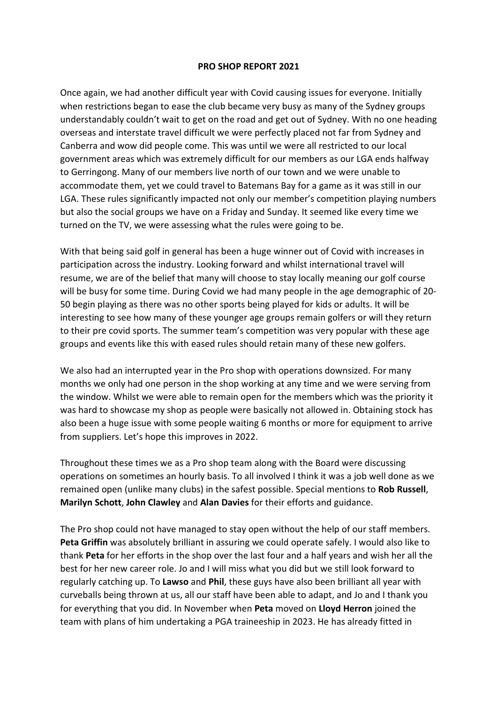## **PRO SHOP REPORT 2021**

Once again, we had another difficult year with Covid causing issues for everyone. Initially when restrictions began to ease the club became very busy as many of the Sydney groups understandably couldn't wait to get on the road and get out of Sydney. With no one heading overseas and interstate travel difficult we were perfectly placed not far from Sydney and Canberra and wow did people come. This was until we were all restricted to our local government areas which was extremely difficult for our members as our LGA ends halfway to Gerringong. Many of our members live north of our town and we were unable to accommodate them, yet we could travel to Batemans Bay for a game as it was still in our LGA. These rules significantly impacted not only our member's competition playing numbers but also the social groups we have on a Friday and Sunday. It seemed like every time we turned on the TV, we were assessing what the rules were going to be.

With that being said golf in general has been a huge winner out of Covid with increases in participation across the industry. Looking forward and whilst international travel will resume, we are of the belief that many will choose to stay locally meaning our golf course will be busy for some time. During Covid we had many people in the age demographic of 20- 50 begin playing as there was no other sports being played for kids or adults. It will be interesting to see how many of these younger age groups remain golfers or will they return to their pre covid sports. The summer team's competition was very popular with these age groups and events like this with eased rules should retain many of these new golfers.

We also had an interrupted year in the Pro shop with operations downsized. For many months we only had one person in the shop working at any time and we were serving from the window. Whilst we were able to remain open for the members which was the priority it was hard to showcase my shop as people were basically not allowed in. Obtaining stock has also been a huge issue with some people waiting 6 months or more for equipment to arrive from suppliers. Let's hope this improves in 2022.

Throughout these times we as a Pro shop team along with the Board were discussing operations on sometimes an hourly basis. To all involved I think it was a job well done as we remained open (unlike many clubs) in the safest possible. Special mentions to **Rob Russell**, **Marilyn Schott**, **John Clawley** and **Alan Davies** for their efforts and guidance.

The Pro shop could not have managed to stay open without the help of our staff members. **Peta Griffin** was absolutely brilliant in assuring we could operate safely. I would also like to thank **Peta** for her efforts in the shop over the last four and a half years and wish her all the best for her new career role. Jo and I will miss what you did but we still look forward to regularly catching up. To **Lawso** and **Phil**, these guys have also been brilliant all year with curveballs being thrown at us, all our staff have been able to adapt, and Jo and I thank you for everything that you did. In November when **Peta** moved on **Lloyd Herron** joined the team with plans of him undertaking a PGA traineeship in 2023. He has already fitted in